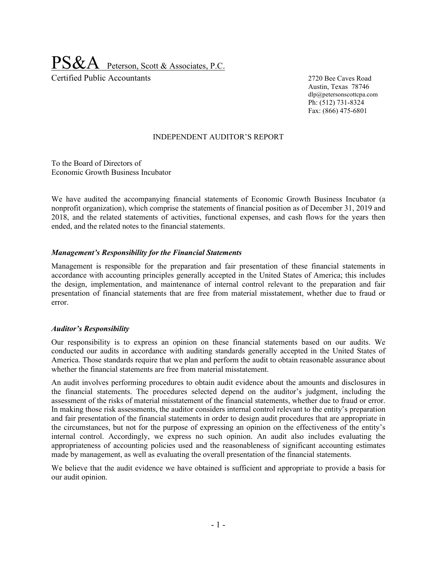Peterson, Scott & Associates, P.C. Certified Public Accountants 2720 Bee Caves Road

Austin, Texas 78746 dlp@petersonscottcpa.com Ph: (512) 731-8324 Fax: (866) 475-6801

#### INDEPENDENT AUDITOR'S REPORT

To the Board of Directors of Economic Growth Business Incubator

We have audited the accompanying financial statements of Economic Growth Business Incubator (a nonprofit organization), which comprise the statements of financial position as of December 31, 2019 and 2018, and the related statements of activities, functional expenses, and cash flows for the years then ended, and the related notes to the financial statements.

#### *Management's Responsibility for the Financial Statements*

Management is responsible for the preparation and fair presentation of these financial statements in accordance with accounting principles generally accepted in the United States of America; this includes the design, implementation, and maintenance of internal control relevant to the preparation and fair presentation of financial statements that are free from material misstatement, whether due to fraud or error.

#### *Auditor's Responsibility*

Our responsibility is to express an opinion on these financial statements based on our audits. We conducted our audits in accordance with auditing standards generally accepted in the United States of America. Those standards require that we plan and perform the audit to obtain reasonable assurance about whether the financial statements are free from material misstatement.

An audit involves performing procedures to obtain audit evidence about the amounts and disclosures in the financial statements. The procedures selected depend on the auditor's judgment, including the assessment of the risks of material misstatement of the financial statements, whether due to fraud or error. In making those risk assessments, the auditor considers internal control relevant to the entity's preparation and fair presentation of the financial statements in order to design audit procedures that are appropriate in the circumstances, but not for the purpose of expressing an opinion on the effectiveness of the entity's internal control. Accordingly, we express no such opinion. An audit also includes evaluating the appropriateness of accounting policies used and the reasonableness of significant accounting estimates made by management, as well as evaluating the overall presentation of the financial statements.

We believe that the audit evidence we have obtained is sufficient and appropriate to provide a basis for our audit opinion.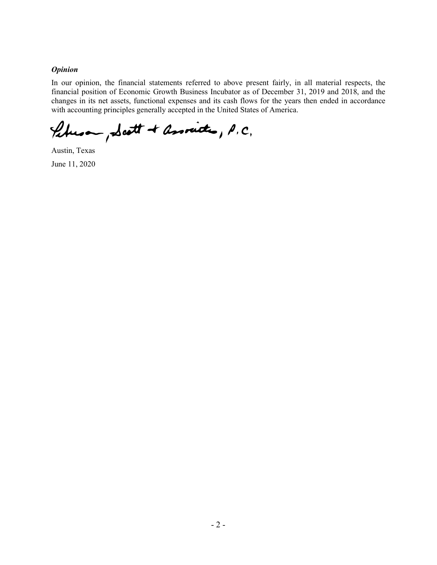#### *Opinion*

In our opinion, the financial statements referred to above present fairly, in all material respects, the financial position of Economic Growth Business Incubator as of December 31, 2019 and 2018, and the changes in its net assets, functional expenses and its cash flows for the years then ended in accordance with accounting principles generally accepted in the United States of America.

Petros , Scott + associates, P.C.

Austin, Texas June 11, 2020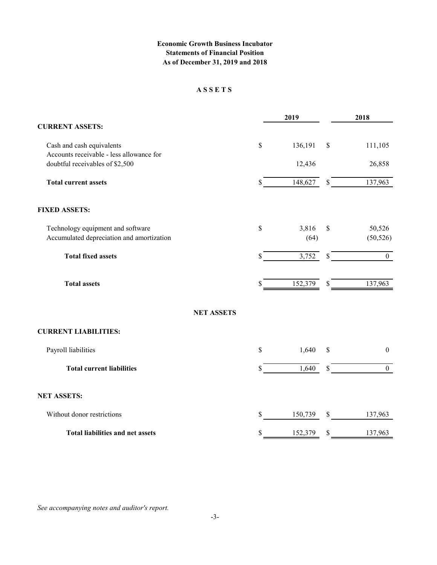### **Economic Growth Business Incubator Statements of Financial Position As of December 31, 2019 and 2018**

#### **A S S E T S**

|                                           | 2019          | 2018                   |
|-------------------------------------------|---------------|------------------------|
| <b>CURRENT ASSETS:</b>                    |               |                        |
| Cash and cash equivalents                 | \$<br>136,191 | \$<br>111,105          |
| Accounts receivable - less allowance for  |               |                        |
| doubtful receivables of \$2,500           | 12,436        | 26,858                 |
| <b>Total current assets</b>               | \$<br>148,627 | \$<br>137,963          |
| <b>FIXED ASSETS:</b>                      |               |                        |
| Technology equipment and software         | \$<br>3,816   | \$<br>50,526           |
| Accumulated depreciation and amortization | (64)          | (50, 526)              |
| <b>Total fixed assets</b>                 | \$<br>3,752   | \$<br>$\boldsymbol{0}$ |
| <b>Total assets</b>                       | \$<br>152,379 | \$<br>137,963          |
| <b>NET ASSETS</b>                         |               |                        |
| <b>CURRENT LIABILITIES:</b>               |               |                        |
| Payroll liabilities                       | \$<br>1,640   | \$<br>$\boldsymbol{0}$ |
| <b>Total current liabilities</b>          | \$<br>1,640   | \$<br>$\boldsymbol{0}$ |
| <b>NET ASSETS:</b>                        |               |                        |
| Without donor restrictions                | \$<br>150,739 | \$<br>137,963          |
| <b>Total liabilities and net assets</b>   | \$<br>152,379 | \$<br>137,963          |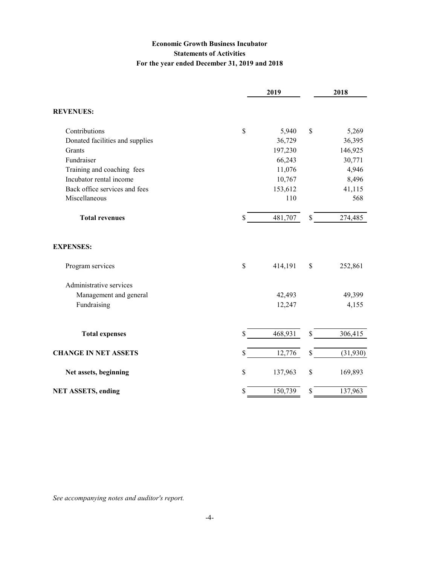## **Economic Growth Business Incubator Statements of Activities For the year ended December 31, 2019 and 2018**

| \$ |         |              |          |
|----|---------|--------------|----------|
|    |         |              |          |
|    | 5,940   | $\mathbb{S}$ | 5,269    |
|    | 36,729  |              | 36,395   |
|    | 197,230 |              | 146,925  |
|    | 66,243  |              | 30,771   |
|    | 11,076  |              | 4,946    |
|    | 10,767  |              | 8,496    |
|    | 153,612 |              | 41,115   |
|    | 110     |              | 568      |
| S  | 481,707 | \$           | 274,485  |
|    |         |              |          |
| \$ | 414,191 | $\mathbb{S}$ | 252,861  |
|    |         |              |          |
|    | 42,493  |              | 49,399   |
|    | 12,247  |              | 4,155    |
| \$ | 468,931 | \$           | 306,415  |
| \$ | 12,776  | \$           | (31,930) |
| \$ | 137,963 | \$           | 169,893  |
| \$ | 150,739 | \$           | 137,963  |
|    |         |              |          |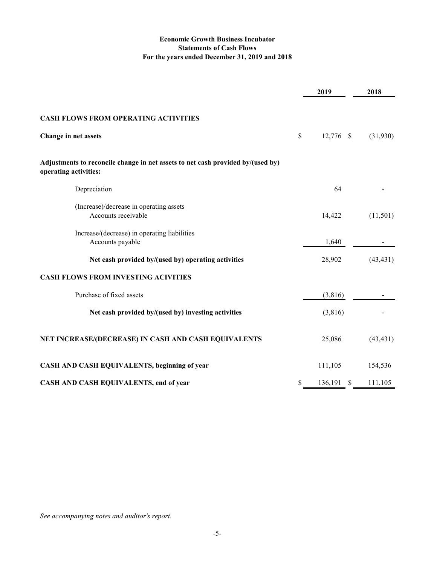### **Economic Growth Business Incubator Statements of Cash Flows For the years ended December 31, 2019 and 2018**

|                                                                                                          | 2019               | 2018      |
|----------------------------------------------------------------------------------------------------------|--------------------|-----------|
| <b>CASH FLOWS FROM OPERATING ACTIVITIES</b>                                                              |                    |           |
| Change in net assets                                                                                     | \$<br>12,776 \$    | (31,930)  |
| Adjustments to reconcile change in net assets to net cash provided by/(used by)<br>operating activities: |                    |           |
| Depreciation                                                                                             | 64                 |           |
| (Increase)/decrease in operating assets<br>Accounts receivable                                           | 14,422             | (11,501)  |
| Increase/(decrease) in operating liabilities<br>Accounts payable                                         | 1,640              |           |
| Net cash provided by/(used by) operating activities                                                      | 28,902             | (43, 431) |
| <b>CASH FLOWS FROM INVESTING ACIVITIES</b>                                                               |                    |           |
| Purchase of fixed assets                                                                                 | (3,816)            |           |
| Net cash provided by/(used by) investing activities                                                      | (3,816)            |           |
| NET INCREASE/(DECREASE) IN CASH AND CASH EQUIVALENTS                                                     | 25,086             | (43, 431) |
| CASH AND CASH EQUIVALENTS, beginning of year                                                             | 111,105            | 154,536   |
| CASH AND CASH EQUIVALENTS, end of year                                                                   | \$<br>$136,191$ \$ | 111,105   |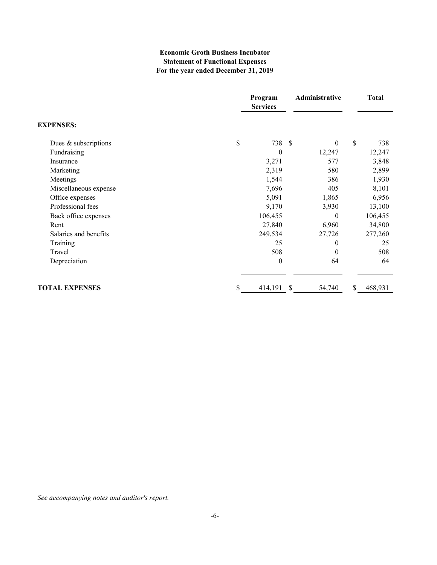### **Economic Groth Business Incubator Statement of Functional Expenses For the year ended December 31, 2019**

|                       | Program<br><b>Services</b> | Administrative | <b>Total</b>  |
|-----------------------|----------------------------|----------------|---------------|
| <b>EXPENSES:</b>      |                            |                |               |
| Dues & subscriptions  | \$<br>738 \$               | $\theta$       | \$<br>738     |
| Fundraising           | $\theta$                   | 12,247         | 12,247        |
| Insurance             | 3,271                      | 577            | 3,848         |
| Marketing             | 2,319                      | 580            | 2,899         |
| Meetings              | 1,544                      | 386            | 1,930         |
| Miscellaneous expense | 7,696                      | 405            | 8,101         |
| Office expenses       | 5,091                      | 1,865          | 6,956         |
| Professional fees     | 9,170                      | 3,930          | 13,100        |
| Back office expenses  | 106,455                    | $\theta$       | 106,455       |
| Rent                  | 27,840                     | 6,960          | 34,800        |
| Salaries and benefits | 249,534                    | 27,726         | 277,260       |
| Training              | 25                         | 0              | 25            |
| Travel                | 508                        | $\Omega$       | 508           |
| Depreciation          | $\theta$                   | 64             | 64            |
| <b>TOTAL EXPENSES</b> | \$<br>414,191              | \$<br>54,740   | \$<br>468,931 |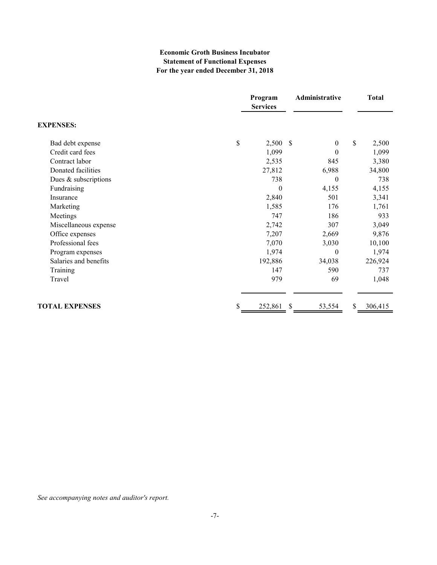### **Economic Groth Business Incubator Statement of Functional Expenses For the year ended December 31, 2018**

|                       | Program<br><b>Services</b> | Administrative                            | <b>Total</b>  |
|-----------------------|----------------------------|-------------------------------------------|---------------|
| <b>EXPENSES:</b>      |                            |                                           |               |
| Bad debt expense      | \$<br>2,500                | $\boldsymbol{\mathsf{S}}$<br>$\mathbf{0}$ | \$<br>2,500   |
| Credit card fees      | 1,099                      | $\theta$                                  | 1,099         |
| Contract labor        | 2,535                      | 845                                       | 3,380         |
| Donated facilities    | 27,812                     | 6,988                                     | 34,800        |
| Dues & subscriptions  | 738                        | $\mathbf{0}$                              | 738           |
| Fundraising           | $\theta$                   | 4,155                                     | 4,155         |
| Insurance             | 2,840                      | 501                                       | 3,341         |
| Marketing             | 1,585                      | 176                                       | 1,761         |
| Meetings              | 747                        | 186                                       | 933           |
| Miscellaneous expense | 2,742                      | 307                                       | 3,049         |
| Office expenses       | 7,207                      | 2,669                                     | 9,876         |
| Professional fees     | 7,070                      | 3,030                                     | 10,100        |
| Program expenses      | 1,974                      | $\theta$                                  | 1,974         |
| Salaries and benefits | 192,886                    | 34,038                                    | 226,924       |
| Training              | 147                        | 590                                       | 737           |
| Travel                | 979                        | 69                                        | 1,048         |
| <b>TOTAL EXPENSES</b> | \$<br>252,861              | \$<br>53,554                              | \$<br>306,415 |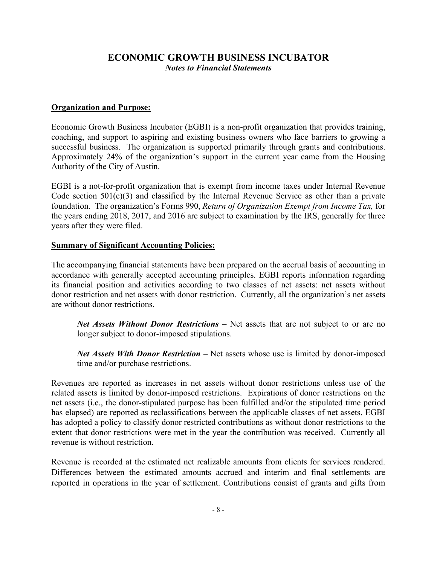## **Organization and Purpose:**

Economic Growth Business Incubator (EGBI) is a non-profit organization that provides training, coaching, and support to aspiring and existing business owners who face barriers to growing a successful business. The organization is supported primarily through grants and contributions. Approximately 24% of the organization's support in the current year came from the Housing Authority of the City of Austin.

EGBI is a not-for-profit organization that is exempt from income taxes under Internal Revenue Code section  $501(c)(3)$  and classified by the Internal Revenue Service as other than a private foundation. The organization's Forms 990, *Return of Organization Exempt from Income Tax,* for the years ending 2018, 2017, and 2016 are subject to examination by the IRS, generally for three years after they were filed.

## **Summary of Significant Accounting Policies:**

The accompanying financial statements have been prepared on the accrual basis of accounting in accordance with generally accepted accounting principles. EGBI reports information regarding its financial position and activities according to two classes of net assets: net assets without donor restriction and net assets with donor restriction. Currently, all the organization's net assets are without donor restrictions.

*Net Assets Without Donor Restrictions* – Net assets that are not subject to or are no longer subject to donor-imposed stipulations.

*Net Assets With Donor Restriction –* Net assets whose use is limited by donor-imposed time and/or purchase restrictions.

Revenues are reported as increases in net assets without donor restrictions unless use of the related assets is limited by donor-imposed restrictions. Expirations of donor restrictions on the net assets (i.e., the donor-stipulated purpose has been fulfilled and/or the stipulated time period has elapsed) are reported as reclassifications between the applicable classes of net assets. EGBI has adopted a policy to classify donor restricted contributions as without donor restrictions to the extent that donor restrictions were met in the year the contribution was received. Currently all revenue is without restriction.

Revenue is recorded at the estimated net realizable amounts from clients for services rendered. Differences between the estimated amounts accrued and interim and final settlements are reported in operations in the year of settlement. Contributions consist of grants and gifts from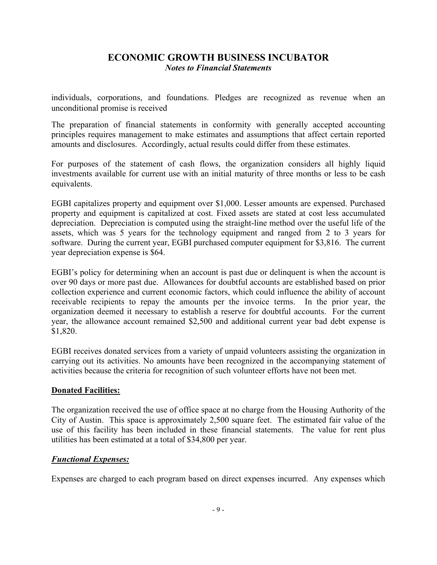individuals, corporations, and foundations. Pledges are recognized as revenue when an unconditional promise is received

The preparation of financial statements in conformity with generally accepted accounting principles requires management to make estimates and assumptions that affect certain reported amounts and disclosures. Accordingly, actual results could differ from these estimates.

For purposes of the statement of cash flows, the organization considers all highly liquid investments available for current use with an initial maturity of three months or less to be cash equivalents.

EGBI capitalizes property and equipment over \$1,000. Lesser amounts are expensed. Purchased property and equipment is capitalized at cost. Fixed assets are stated at cost less accumulated depreciation. Depreciation is computed using the straight-line method over the useful life of the assets, which was 5 years for the technology equipment and ranged from 2 to 3 years for software. During the current year, EGBI purchased computer equipment for \$3,816. The current year depreciation expense is \$64.

EGBI's policy for determining when an account is past due or delinquent is when the account is over 90 days or more past due. Allowances for doubtful accounts are established based on prior collection experience and current economic factors, which could influence the ability of account receivable recipients to repay the amounts per the invoice terms. In the prior year, the organization deemed it necessary to establish a reserve for doubtful accounts. For the current year, the allowance account remained \$2,500 and additional current year bad debt expense is \$1,820.

EGBI receives donated services from a variety of unpaid volunteers assisting the organization in carrying out its activities. No amounts have been recognized in the accompanying statement of activities because the criteria for recognition of such volunteer efforts have not been met.

## **Donated Facilities:**

The organization received the use of office space at no charge from the Housing Authority of the City of Austin. This space is approximately 2,500 square feet. The estimated fair value of the use of this facility has been included in these financial statements. The value for rent plus utilities has been estimated at a total of \$34,800 per year.

# *Functional Expenses:*

Expenses are charged to each program based on direct expenses incurred. Any expenses which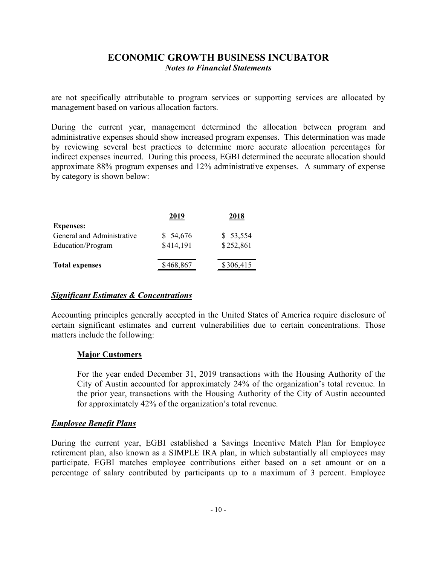are not specifically attributable to program services or supporting services are allocated by management based on various allocation factors.

During the current year, management determined the allocation between program and administrative expenses should show increased program expenses. This determination was made by reviewing several best practices to determine more accurate allocation percentages for indirect expenses incurred. During this process, EGBI determined the accurate allocation should approximate 88% program expenses and 12% administrative expenses. A summary of expense by category is shown below:

|                            | 2019      | 2018      |
|----------------------------|-----------|-----------|
| <b>Expenses:</b>           |           |           |
| General and Administrative | \$54,676  | \$53,554  |
| Education/Program          | \$414,191 | \$252,861 |
|                            |           |           |
| <b>Total expenses</b>      | \$468,867 | \$306,415 |
|                            |           |           |

### *Significant Estimates & Concentrations*

Accounting principles generally accepted in the United States of America require disclosure of certain significant estimates and current vulnerabilities due to certain concentrations. Those matters include the following:

### **Major Customers**

For the year ended December 31, 2019 transactions with the Housing Authority of the City of Austin accounted for approximately 24% of the organization's total revenue. In the prior year, transactions with the Housing Authority of the City of Austin accounted for approximately 42% of the organization's total revenue.

### *Employee Benefit Plans*

During the current year, EGBI established a Savings Incentive Match Plan for Employee retirement plan, also known as a SIMPLE IRA plan, in which substantially all employees may participate. EGBI matches employee contributions either based on a set amount or on a percentage of salary contributed by participants up to a maximum of 3 percent. Employee